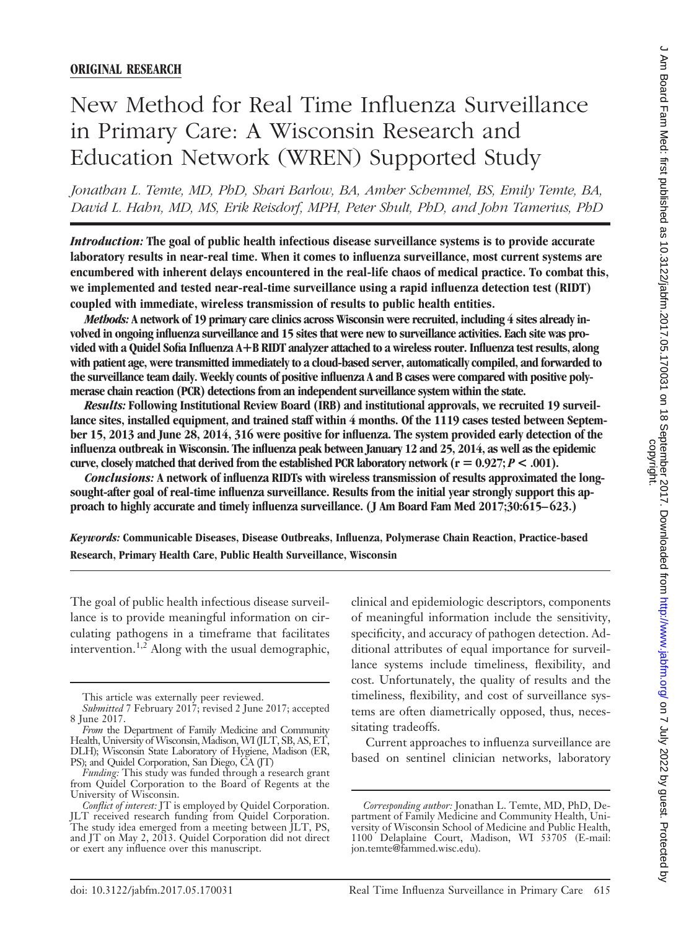# New Method for Real Time Influenza Surveillance in Primary Care: A Wisconsin Research and Education Network (WREN) Supported Study

*Jonathan L. Temte, MD, PhD, Shari Barlow, BA, Amber Schemmel, BS, Emily Temte, BA, David L. Hahn, MD, MS, Erik Reisdorf, MPH, Peter Shult, PhD, and John Tamerius, PhD*

*Introduction:* **The goal of public health infectious disease surveillance systems is to provide accurate laboratory results in near-real time. When it comes to influenza surveillance, most current systems are encumbered with inherent delays encountered in the real-life chaos of medical practice. To combat this, we implemented and tested near-real-time surveillance using a rapid influenza detection test (RIDT) coupled with immediate, wireless transmission of results to public health entities.**

*Methods:* **A network of 19 primary care clinics across Wisconsin were recruited, including 4 sites already involved in ongoing influenza surveillance and 15 sites that were new to surveillance activities. Each site was provided with a Quidel Sofia Influenza A**-**B RIDT analyzer attached to a wireless router. Influenza test results, along with patient age, were transmitted immediately to a cloud-based server, automatically compiled, and forwarded to the surveillance team daily. Weekly counts of positive influenza A and B cases were compared with positive polymerase chain reaction (PCR) detections from an independent surveillance system within the state.**

*Results:* **Following Institutional Review Board (IRB) and institutional approvals, we recruited 19 surveillance sites, installed equipment, and trained staff within 4 months. Of the 1119 cases tested between September 15, 2013 and June 28, 2014, 316 were positive for influenza. The system provided early detection of the influenza outbreak in Wisconsin. The influenza peak between January 12 and 25, 2014, as well as the epidemic curve, closely matched that derived from the established PCR laboratory network (** $r = 0.927; P < .001$ **).** 

*Conclusions:* **A network of influenza RIDTs with wireless transmission of results approximated the longsought-after goal of real-time influenza surveillance. Results from the initial year strongly support this approach to highly accurate and timely influenza surveillance. (J Am Board Fam Med 2017;30:615– 623.)**

*Keywords:* **Communicable Diseases, Disease Outbreaks, Influenza, Polymerase Chain Reaction, Practice-based Research, Primary Health Care, Public Health Surveillance, Wisconsin**

The goal of public health infectious disease surveillance is to provide meaningful information on circulating pathogens in a timeframe that facilitates intervention.<sup>1,2</sup> Along with the usual demographic,

clinical and epidemiologic descriptors, components of meaningful information include the sensitivity, specificity, and accuracy of pathogen detection. Additional attributes of equal importance for surveillance systems include timeliness, flexibility, and cost. Unfortunately, the quality of results and the timeliness, flexibility, and cost of surveillance systems are often diametrically opposed, thus, necessitating tradeoffs.

Current approaches to influenza surveillance are based on sentinel clinician networks, laboratory

This article was externally peer reviewed.

*Submitted* 7 February 2017; revised 2 June 2017; accepted 8 June 2017.

*From* the Department of Family Medicine and Community Health, University of Wisconsin, Madison, WI (JLT, SB, AS, ET, DLH); Wisconsin State Laboratory of Hygiene, Madison (ER, PS); and Quidel Corporation, San Diego, CA (JT)

*Funding:* This study was funded through a research grant from Quidel Corporation to the Board of Regents at the University of Wisconsin.

*Conflict of interest:* JT is employed by Quidel Corporation. JLT received research funding from Quidel Corporation. The study idea emerged from a meeting between JLT, PS, and JT on May 2, 2013. Quidel Corporation did not direct or exert any influence over this manuscript.

*Corresponding author:* Jonathan L. Temte, MD, PhD, Department of Family Medicine and Community Health, University of Wisconsin School of Medicine and Public Health, 1100 Delaplaine Court, Madison, WI 53705 (E-mail: jon.temte@fammed.wisc.edu).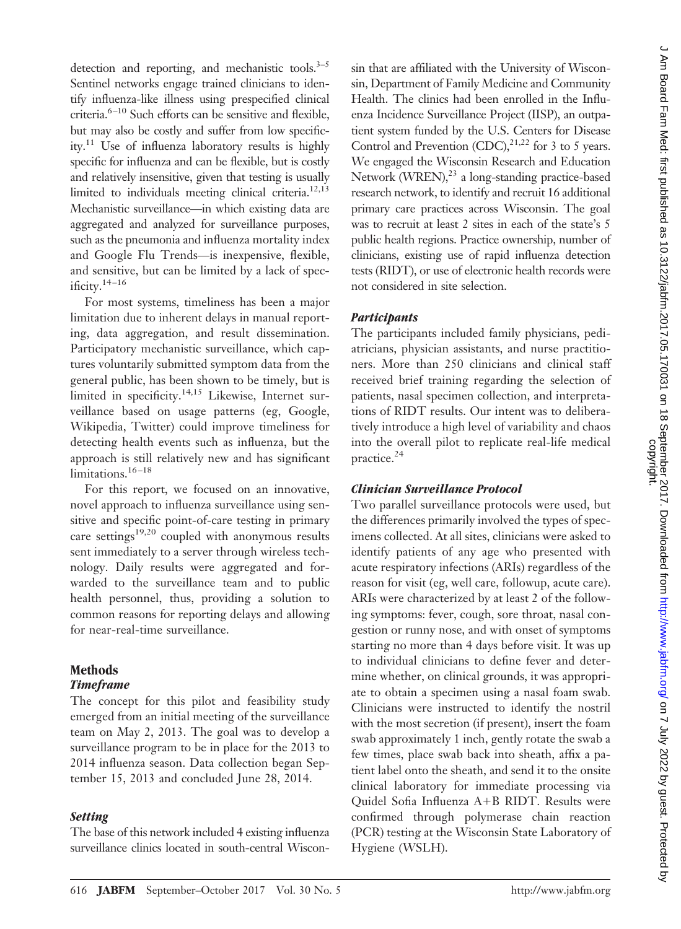detection and reporting, and mechanistic tools. $3-5$ Sentinel networks engage trained clinicians to identify influenza-like illness using prespecified clinical criteria.<sup>6-10</sup> Such efforts can be sensitive and flexible, but may also be costly and suffer from low specificity.11 Use of influenza laboratory results is highly specific for influenza and can be flexible, but is costly and relatively insensitive, given that testing is usually limited to individuals meeting clinical criteria.<sup>12,13</sup> Mechanistic surveillance—in which existing data are aggregated and analyzed for surveillance purposes, such as the pneumonia and influenza mortality index and Google Flu Trends—is inexpensive, flexible, and sensitive, but can be limited by a lack of specificity. $14 - 16$ 

For most systems, timeliness has been a major limitation due to inherent delays in manual reporting, data aggregation, and result dissemination. Participatory mechanistic surveillance, which captures voluntarily submitted symptom data from the general public, has been shown to be timely, but is limited in specificity.<sup>14,15</sup> Likewise, Internet surveillance based on usage patterns (eg, Google, Wikipedia, Twitter) could improve timeliness for detecting health events such as influenza, but the approach is still relatively new and has significant limitations.<sup>16-18</sup>

For this report, we focused on an innovative, novel approach to influenza surveillance using sensitive and specific point-of-care testing in primary care settings $19,20$  coupled with anonymous results sent immediately to a server through wireless technology. Daily results were aggregated and forwarded to the surveillance team and to public health personnel, thus, providing a solution to common reasons for reporting delays and allowing for near-real-time surveillance.

## **Methods**

## *Timeframe*

The concept for this pilot and feasibility study emerged from an initial meeting of the surveillance team on May 2, 2013. The goal was to develop a surveillance program to be in place for the 2013 to 2014 influenza season. Data collection began September 15, 2013 and concluded June 28, 2014.

#### *Setting*

The base of this network included 4 existing influenza surveillance clinics located in south-central Wiscon-

sin that are affiliated with the University of Wisconsin, Department of Family Medicine and Community Health. The clinics had been enrolled in the Influenza Incidence Surveillance Project (IISP), an outpatient system funded by the U.S. Centers for Disease Control and Prevention (CDC), $^{21,22}$  for 3 to 5 years. We engaged the Wisconsin Research and Education Network  $(WREN)<sup>23</sup>$  a long-standing practice-based research network, to identify and recruit 16 additional primary care practices across Wisconsin. The goal was to recruit at least 2 sites in each of the state's 5 public health regions. Practice ownership, number of clinicians, existing use of rapid influenza detection tests (RIDT), or use of electronic health records were not considered in site selection.

#### *Participants*

The participants included family physicians, pediatricians, physician assistants, and nurse practitioners. More than 250 clinicians and clinical staff received brief training regarding the selection of patients, nasal specimen collection, and interpretations of RIDT results. Our intent was to deliberatively introduce a high level of variability and chaos into the overall pilot to replicate real-life medical practice.<sup>24</sup>

#### *Clinician Surveillance Protocol*

Two parallel surveillance protocols were used, but the differences primarily involved the types of specimens collected. At all sites, clinicians were asked to identify patients of any age who presented with acute respiratory infections (ARIs) regardless of the reason for visit (eg, well care, followup, acute care). ARIs were characterized by at least 2 of the following symptoms: fever, cough, sore throat, nasal congestion or runny nose, and with onset of symptoms starting no more than 4 days before visit. It was up to individual clinicians to define fever and determine whether, on clinical grounds, it was appropriate to obtain a specimen using a nasal foam swab. Clinicians were instructed to identify the nostril with the most secretion (if present), insert the foam swab approximately 1 inch, gently rotate the swab a few times, place swab back into sheath, affix a patient label onto the sheath, and send it to the onsite clinical laboratory for immediate processing via Quidel Sofia Influenza  $A+B$  RIDT. Results were confirmed through polymerase chain reaction (PCR) testing at the Wisconsin State Laboratory of Hygiene (WSLH).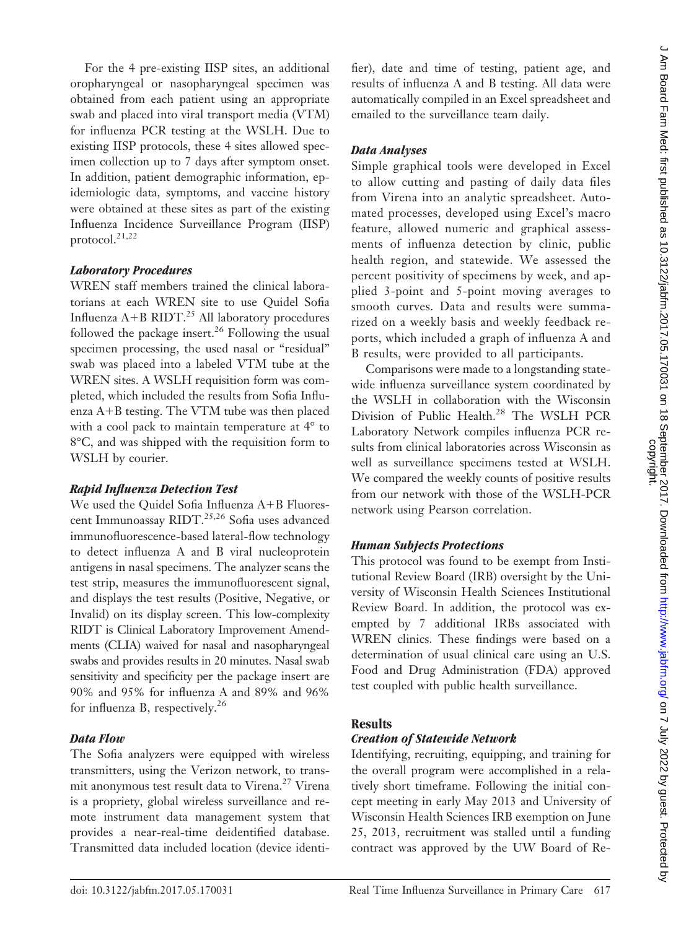For the 4 pre-existing IISP sites, an additional oropharyngeal or nasopharyngeal specimen was obtained from each patient using an appropriate swab and placed into viral transport media (VTM) for influenza PCR testing at the WSLH. Due to existing IISP protocols, these 4 sites allowed specimen collection up to 7 days after symptom onset. In addition, patient demographic information, epidemiologic data, symptoms, and vaccine history were obtained at these sites as part of the existing Influenza Incidence Surveillance Program (IISP) protocol. $21,22$ 

#### *Laboratory Procedures*

WREN staff members trained the clinical laboratorians at each WREN site to use Quidel Sofia Influenza  $A+B$  RIDT.<sup>25</sup> All laboratory procedures followed the package insert.<sup>26</sup> Following the usual specimen processing, the used nasal or "residual" swab was placed into a labeled VTM tube at the WREN sites. A WSLH requisition form was completed, which included the results from Sofia Influenza  $A+B$  testing. The VTM tube was then placed with a cool pack to maintain temperature at  $4^{\circ}$  to 8°C, and was shipped with the requisition form to WSLH by courier.

#### *Rapid Influenza Detection Test*

We used the Quidel Sofia Influenza  $A+B$  Fluorescent Immunoassay RIDT.<sup>25,26</sup> Sofia uses advanced immunofluorescence-based lateral-flow technology to detect influenza A and B viral nucleoprotein antigens in nasal specimens. The analyzer scans the test strip, measures the immunofluorescent signal, and displays the test results (Positive, Negative, or Invalid) on its display screen. This low-complexity RIDT is Clinical Laboratory Improvement Amendments (CLIA) waived for nasal and nasopharyngeal swabs and provides results in 20 minutes. Nasal swab sensitivity and specificity per the package insert are 90% and 95% for influenza A and 89% and 96% for influenza B, respectively.<sup>26</sup>

#### *Data Flow*

The Sofia analyzers were equipped with wireless transmitters, using the Verizon network, to transmit anonymous test result data to Virena.<sup>27</sup> Virena is a propriety, global wireless surveillance and remote instrument data management system that provides a near-real-time deidentified database. Transmitted data included location (device identifier), date and time of testing, patient age, and results of influenza A and B testing. All data were automatically compiled in an Excel spreadsheet and emailed to the surveillance team daily.

## *Data Analyses*

Simple graphical tools were developed in Excel to allow cutting and pasting of daily data files from Virena into an analytic spreadsheet. Automated processes, developed using Excel's macro feature, allowed numeric and graphical assessments of influenza detection by clinic, public health region, and statewide. We assessed the percent positivity of specimens by week, and applied 3-point and 5-point moving averages to smooth curves. Data and results were summarized on a weekly basis and weekly feedback reports, which included a graph of influenza A and B results, were provided to all participants.

Comparisons were made to a longstanding statewide influenza surveillance system coordinated by the WSLH in collaboration with the Wisconsin Division of Public Health.<sup>28</sup> The WSLH PCR Laboratory Network compiles influenza PCR results from clinical laboratories across Wisconsin as well as surveillance specimens tested at WSLH. We compared the weekly counts of positive results from our network with those of the WSLH-PCR network using Pearson correlation.

#### *Human Subjects Protections*

This protocol was found to be exempt from Institutional Review Board (IRB) oversight by the University of Wisconsin Health Sciences Institutional Review Board. In addition, the protocol was exempted by 7 additional IRBs associated with WREN clinics. These findings were based on a determination of usual clinical care using an U.S. Food and Drug Administration (FDA) approved test coupled with public health surveillance.

#### **Results**

## *Creation of Statewide Network*

Identifying, recruiting, equipping, and training for the overall program were accomplished in a relatively short timeframe. Following the initial concept meeting in early May 2013 and University of Wisconsin Health Sciences IRB exemption on June 25, 2013, recruitment was stalled until a funding contract was approved by the UW Board of Re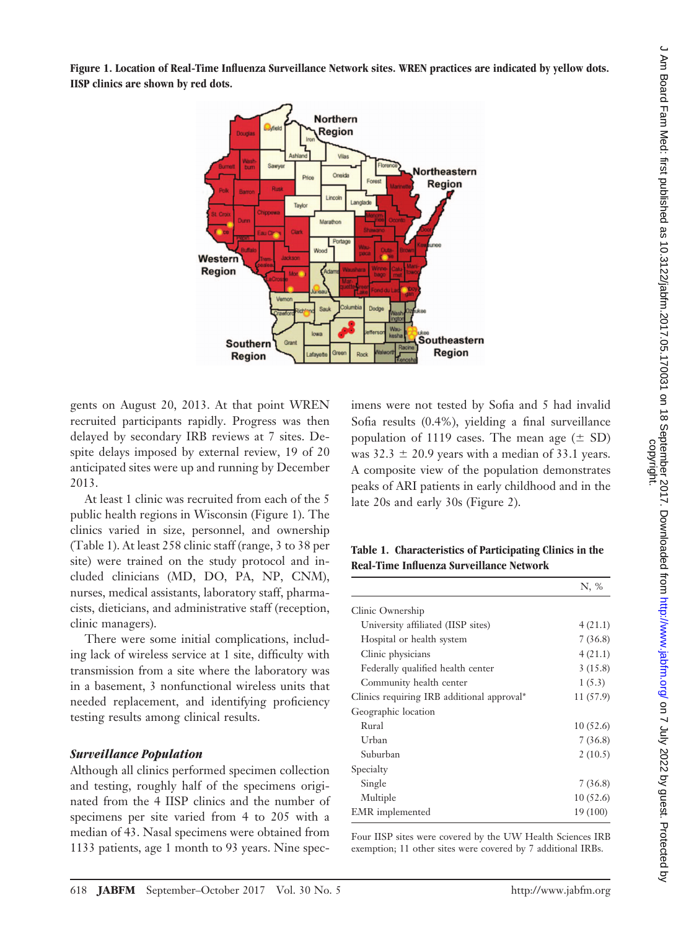**Figure 1. Location of Real-Time Influenza Surveillance Network sites. WREN practices are indicated by yellow dots. IISP clinics are shown by red dots.**



gents on August 20, 2013. At that point WREN recruited participants rapidly. Progress was then delayed by secondary IRB reviews at 7 sites. Despite delays imposed by external review, 19 of 20 anticipated sites were up and running by December 2013.

At least 1 clinic was recruited from each of the 5 public health regions in Wisconsin (Figure 1). The clinics varied in size, personnel, and ownership (Table 1). At least 258 clinic staff (range, 3 to 38 per site) were trained on the study protocol and included clinicians (MD, DO, PA, NP, CNM), nurses, medical assistants, laboratory staff, pharmacists, dieticians, and administrative staff (reception, clinic managers).

There were some initial complications, including lack of wireless service at 1 site, difficulty with transmission from a site where the laboratory was in a basement, 3 nonfunctional wireless units that needed replacement, and identifying proficiency testing results among clinical results.

#### *Surveillance Population*

Although all clinics performed specimen collection and testing, roughly half of the specimens originated from the 4 IISP clinics and the number of specimens per site varied from 4 to 205 with a median of 43. Nasal specimens were obtained from 1133 patients, age 1 month to 93 years. Nine specimens were not tested by Sofia and 5 had invalid Sofia results (0.4%), yielding a final surveillance population of 1119 cases. The mean age  $(\pm SD)$ was  $32.3 \pm 20.9$  years with a median of 33.1 years. A composite view of the population demonstrates peaks of ARI patients in early childhood and in the late 20s and early 30s (Figure 2).

**Table 1. Characteristics of Participating Clinics in the Real-Time Influenza Surveillance Network**

|                                            | N, %      |
|--------------------------------------------|-----------|
| Clinic Ownership                           |           |
| University affiliated (IISP sites)         | 4(21.1)   |
| Hospital or health system                  | 7(36.8)   |
| Clinic physicians                          | 4(21.1)   |
| Federally qualified health center          | 3(15.8)   |
| Community health center                    | 1(5.3)    |
| Clinics requiring IRB additional approval* | 11 (57.9) |
| Geographic location                        |           |
| Rural                                      | 10(52.6)  |
| Urban                                      | 7(36.8)   |
| Suburban                                   | 2(10.5)   |
| Specialty                                  |           |
| Single                                     | 7(36.8)   |
| Multiple                                   | 10(52.6)  |
| EMR implemented                            | 19 (100)  |

Four IISP sites were covered by the UW Health Sciences IRB exemption; 11 other sites were covered by 7 additional IRBs.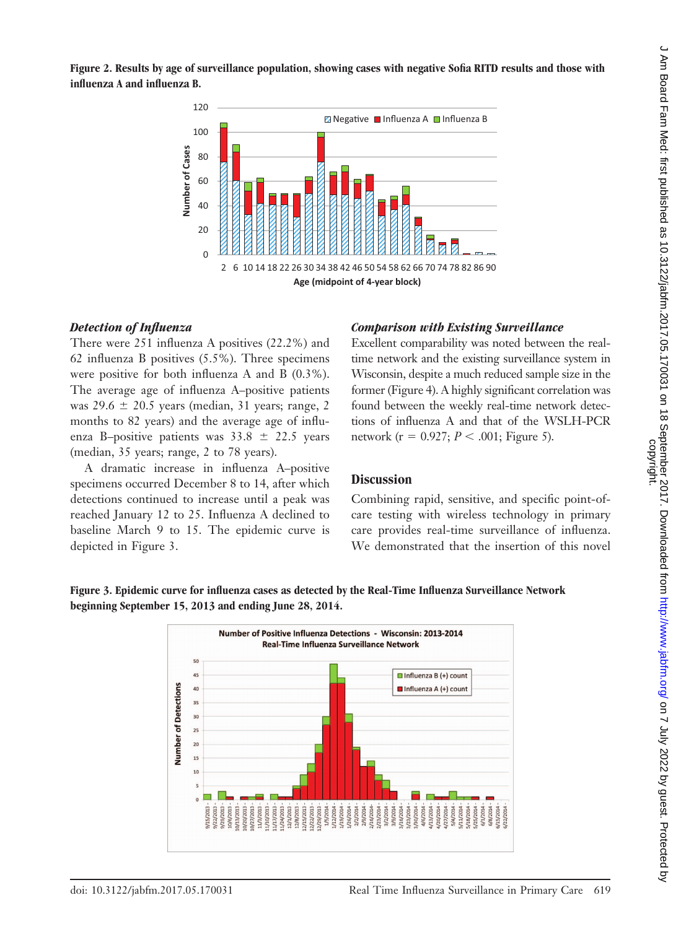

## *Detection of Influenza*

There were 251 influenza A positives (22.2%) and 62 influenza B positives (5.5%). Three specimens were positive for both influenza A and B (0.3%). The average age of influenza A–positive patients was  $29.6 \pm 20.5$  years (median, 31 years; range, 2 months to 82 years) and the average age of influenza B–positive patients was  $33.8 \pm 22.5$  years (median, 35 years; range, 2 to 78 years).

A dramatic increase in influenza A–positive specimens occurred December 8 to 14, after which detections continued to increase until a peak was reached January 12 to 25. Influenza A declined to baseline March 9 to 15. The epidemic curve is depicted in Figure 3.

#### *Comparison with Existing Surveillance*

Excellent comparability was noted between the realtime network and the existing surveillance system in Wisconsin, despite a much reduced sample size in the former (Figure 4). A highly significant correlation was found between the weekly real-time network detections of influenza A and that of the WSLH-PCR network ( $r = 0.927$ ;  $P < .001$ ; Figure 5).

#### **Discussion**

Combining rapid, sensitive, and specific point-ofcare testing with wireless technology in primary care provides real-time surveillance of influenza. We demonstrated that the insertion of this novel



**Figure 3. Epidemic curve for influenza cases as detected by the Real-Time Influenza Surveillance Network beginning September 15, 2013 and ending June 28, 2014.**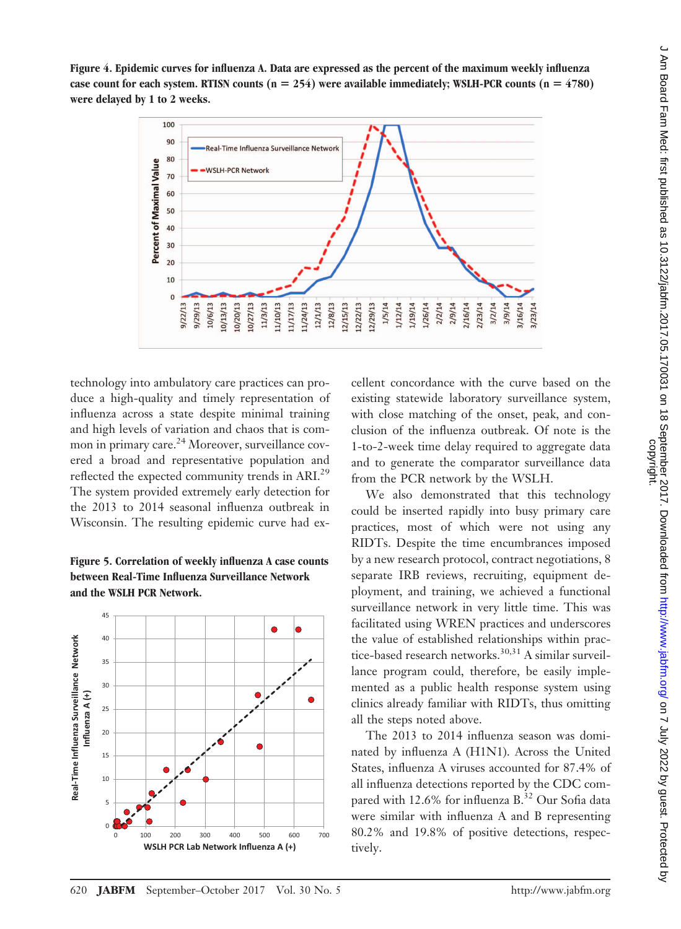

technology into ambulatory care practices can produce a high-quality and timely representation of influenza across a state despite minimal training and high levels of variation and chaos that is common in primary care.<sup>24</sup> Moreover, surveillance covered a broad and representative population and reflected the expected community trends in ARI.<sup>29</sup> The system provided extremely early detection for the 2013 to 2014 seasonal influenza outbreak in Wisconsin. The resulting epidemic curve had ex-





cellent concordance with the curve based on the existing statewide laboratory surveillance system, with close matching of the onset, peak, and conclusion of the influenza outbreak. Of note is the 1-to-2-week time delay required to aggregate data and to generate the comparator surveillance data from the PCR network by the WSLH.

We also demonstrated that this technology could be inserted rapidly into busy primary care practices, most of which were not using any RIDTs. Despite the time encumbrances imposed by a new research protocol, contract negotiations, 8 separate IRB reviews, recruiting, equipment deployment, and training, we achieved a functional surveillance network in very little time. This was facilitated using WREN practices and underscores the value of established relationships within practice-based research networks.<sup>30,31</sup> A similar surveillance program could, therefore, be easily implemented as a public health response system using clinics already familiar with RIDTs, thus omitting all the steps noted above.

The 2013 to 2014 influenza season was dominated by influenza A (H1N1). Across the United States, influenza A viruses accounted for 87.4% of all influenza detections reported by the CDC compared with 12.6% for influenza B.<sup>32</sup> Our Sofia data were similar with influenza A and B representing 80.2% and 19.8% of positive detections, respectively.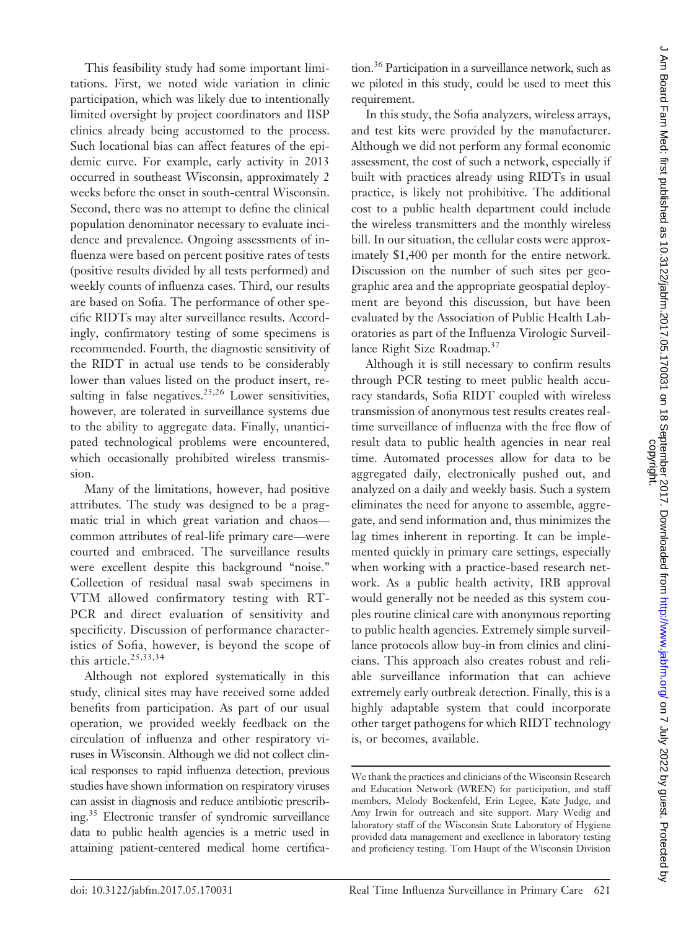This feasibility study had some important limitations. First, we noted wide variation in clinic participation, which was likely due to intentionally limited oversight by project coordinators and IISP clinics already being accustomed to the process. Such locational bias can affect features of the epidemic curve. For example, early activity in 2013 occurred in southeast Wisconsin, approximately 2 weeks before the onset in south-central Wisconsin. Second, there was no attempt to define the clinical population denominator necessary to evaluate incidence and prevalence. Ongoing assessments of influenza were based on percent positive rates of tests (positive results divided by all tests performed) and weekly counts of influenza cases. Third, our results are based on Sofia. The performance of other specific RIDTs may alter surveillance results. Accordingly, confirmatory testing of some specimens is recommended. Fourth, the diagnostic sensitivity of the RIDT in actual use tends to be considerably lower than values listed on the product insert, resulting in false negatives.<sup>25,26</sup> Lower sensitivities, however, are tolerated in surveillance systems due to the ability to aggregate data. Finally, unanticipated technological problems were encountered, which occasionally prohibited wireless transmission.

Many of the limitations, however, had positive attributes. The study was designed to be a pragmatic trial in which great variation and chaos common attributes of real-life primary care—were courted and embraced. The surveillance results were excellent despite this background "noise." Collection of residual nasal swab specimens in VTM allowed confirmatory testing with RT-PCR and direct evaluation of sensitivity and specificity. Discussion of performance characteristics of Sofia, however, is beyond the scope of this article.<sup>25,33,34</sup>

Although not explored systematically in this study, clinical sites may have received some added benefits from participation. As part of our usual operation, we provided weekly feedback on the circulation of influenza and other respiratory viruses in Wisconsin. Although we did not collect clinical responses to rapid influenza detection, previous studies have shown information on respiratory viruses can assist in diagnosis and reduce antibiotic prescribing.35 Electronic transfer of syndromic surveillance data to public health agencies is a metric used in attaining patient-centered medical home certification.36 Participation in a surveillance network, such as we piloted in this study, could be used to meet this requirement.

In this study, the Sofia analyzers, wireless arrays, and test kits were provided by the manufacturer. Although we did not perform any formal economic assessment, the cost of such a network, especially if built with practices already using RIDTs in usual practice, is likely not prohibitive. The additional cost to a public health department could include the wireless transmitters and the monthly wireless bill. In our situation, the cellular costs were approximately \$1,400 per month for the entire network. Discussion on the number of such sites per geographic area and the appropriate geospatial deployment are beyond this discussion, but have been evaluated by the Association of Public Health Laboratories as part of the Influenza Virologic Surveillance Right Size Roadmap.37

Although it is still necessary to confirm results through PCR testing to meet public health accuracy standards, Sofia RIDT coupled with wireless transmission of anonymous test results creates realtime surveillance of influenza with the free flow of result data to public health agencies in near real time. Automated processes allow for data to be aggregated daily, electronically pushed out, and analyzed on a daily and weekly basis. Such a system eliminates the need for anyone to assemble, aggregate, and send information and, thus minimizes the lag times inherent in reporting. It can be implemented quickly in primary care settings, especially when working with a practice-based research network. As a public health activity, IRB approval would generally not be needed as this system couples routine clinical care with anonymous reporting to public health agencies. Extremely simple surveillance protocols allow buy-in from clinics and clinicians. This approach also creates robust and reliable surveillance information that can achieve extremely early outbreak detection. Finally, this is a highly adaptable system that could incorporate other target pathogens for which RIDT technology is, or becomes, available.

We thank the practices and clinicians of the Wisconsin Research and Education Network (WREN) for participation, and staff members, Melody Bockenfeld, Erin Legee, Kate Judge, and Amy Irwin for outreach and site support. Mary Wedig and laboratory staff of the Wisconsin State Laboratory of Hygiene provided data management and excellence in laboratory testing and proficiency testing. Tom Haupt of the Wisconsin Division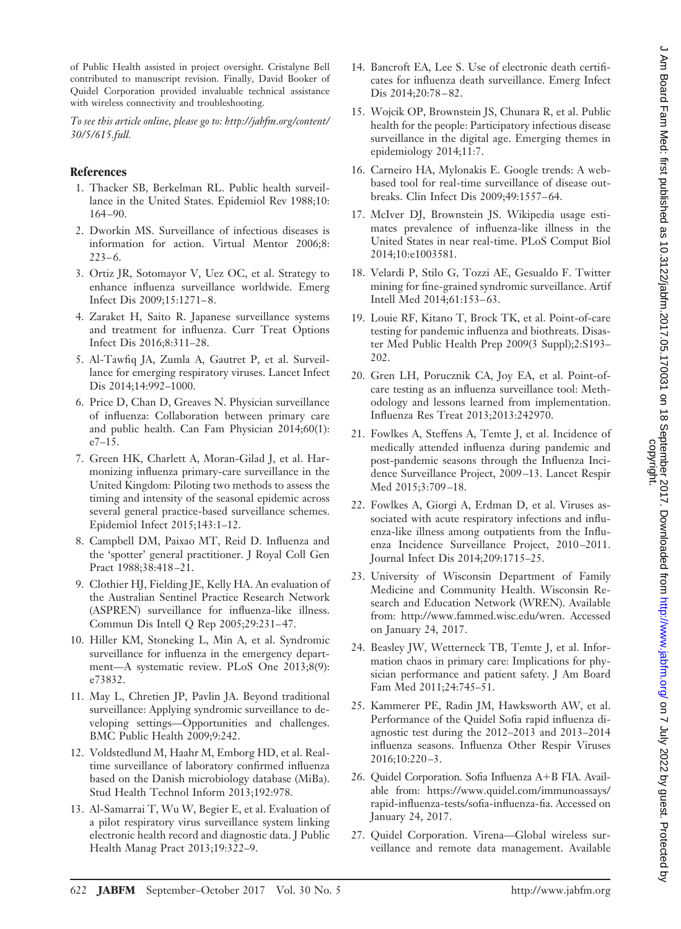*To see this article online, please go to: [http://jabfm.org/content/](http://jabfm.org/content/30/5/615.full) [30/5/615.full.](http://jabfm.org/content/30/5/615.full)*

#### **References**

- 1. Thacker SB, Berkelman RL. Public health surveillance in the United States. Epidemiol Rev 1988;10: 164 –90.
- 2. Dworkin MS. Surveillance of infectious diseases is information for action. Virtual Mentor 2006;8:  $223 - 6.$
- 3. Ortiz JR, Sotomayor V, Uez OC, et al. Strategy to enhance influenza surveillance worldwide. Emerg Infect Dis 2009;15:1271– 8.
- 4. Zaraket H, Saito R. Japanese surveillance systems and treatment for influenza. Curr Treat Options Infect Dis 2016;8:311–28.
- 5. Al-Tawfiq JA, Zumla A, Gautret P, et al. Surveillance for emerging respiratory viruses. Lancet Infect Dis 2014;14:992–1000.
- 6. Price D, Chan D, Greaves N. Physician surveillance of influenza: Collaboration between primary care and public health. Can Fam Physician 2014;60(1): e7–15.
- 7. Green HK, Charlett A, Moran-Gilad J, et al. Harmonizing influenza primary-care surveillance in the United Kingdom: Piloting two methods to assess the timing and intensity of the seasonal epidemic across several general practice-based surveillance schemes. Epidemiol Infect 2015;143:1–12.
- 8. Campbell DM, Paixao MT, Reid D. Influenza and the 'spotter' general practitioner. J Royal Coll Gen Pract 1988;38:418 –21.
- 9. Clothier HJ, Fielding JE, Kelly HA. An evaluation of the Australian Sentinel Practice Research Network (ASPREN) surveillance for influenza-like illness. Commun Dis Intell Q Rep 2005;29:231– 47.
- 10. Hiller KM, Stoneking L, Min A, et al. Syndromic surveillance for influenza in the emergency department—A systematic review. PLoS One 2013;8(9): e73832.
- 11. May L, Chretien JP, Pavlin JA. Beyond traditional surveillance: Applying syndromic surveillance to developing settings—Opportunities and challenges. BMC Public Health 2009;9:242.
- 12. Voldstedlund M, Haahr M, Emborg HD, et al. Realtime surveillance of laboratory confirmed influenza based on the Danish microbiology database (MiBa). Stud Health Technol Inform 2013;192:978.
- 13. Al-Samarrai T, Wu W, Begier E, et al. Evaluation of a pilot respiratory virus surveillance system linking electronic health record and diagnostic data. J Public Health Manag Pract 2013;19:322–9.
- 14. Bancroft EA, Lee S. Use of electronic death certificates for influenza death surveillance. Emerg Infect Dis 2014;20:78 – 82.
- 15. Wojcik OP, Brownstein JS, Chunara R, et al. Public health for the people: Participatory infectious disease surveillance in the digital age. Emerging themes in epidemiology 2014;11:7.
- 16. Carneiro HA, Mylonakis E. Google trends: A webbased tool for real-time surveillance of disease outbreaks. Clin Infect Dis 2009;49:1557– 64.
- 17. McIver DJ, Brownstein JS. Wikipedia usage estimates prevalence of influenza-like illness in the United States in near real-time. PLoS Comput Biol 2014;10:e1003581.
- 18. Velardi P, Stilo G, Tozzi AE, Gesualdo F. Twitter mining for fine-grained syndromic surveillance. Artif Intell Med 2014;61:153-63.
- 19. Louie RF, Kitano T, Brock TK, et al. Point-of-care testing for pandemic influenza and biothreats. Disaster Med Public Health Prep 2009(3 Suppl);2:S193– 202.
- 20. Gren LH, Porucznik CA, Joy EA, et al. Point-ofcare testing as an influenza surveillance tool: Methodology and lessons learned from implementation. Influenza Res Treat 2013;2013:242970.
- 21. Fowlkes A, Steffens A, Temte J, et al. Incidence of medically attended influenza during pandemic and post-pandemic seasons through the Influenza Incidence Surveillance Project, 2009 –13. Lancet Respir Med 2015;3:709 –18.
- 22. Fowlkes A, Giorgi A, Erdman D, et al. Viruses associated with acute respiratory infections and influenza-like illness among outpatients from the Influenza Incidence Surveillance Project, 2010 –2011. Journal Infect Dis 2014;209:1715–25.
- 23. University of Wisconsin Department of Family Medicine and Community Health. Wisconsin Research and Education Network (WREN). Available from: [http://www.fammed.wisc.edu/wren.](http://www.fammed.wisc.edu/wren) Accessed on January 24, 2017.
- 24. Beasley JW, Wetterneck TB, Temte J, et al. Information chaos in primary care: Implications for physician performance and patient safety. J Am Board Fam Med 2011;24:745–51.
- 25. Kammerer PE, Radin JM, Hawksworth AW, et al. Performance of the Quidel Sofia rapid influenza diagnostic test during the 2012–2013 and 2013–2014 influenza seasons. Influenza Other Respir Viruses 2016;10:220 –3.
- 26. Quidel Corporation. Sofia Influenza A+B FIA. Available from: [https://www.quidel.com/immunoassays/](https://www.quidel.com/immunoassays/rapid-influenza-tests/sofia-influenza-fia) [rapid-influenza-tests/sofia-influenza-fia.](https://www.quidel.com/immunoassays/rapid-influenza-tests/sofia-influenza-fia) Accessed on January 24, 2017.
- 27. Quidel Corporation. Virena—Global wireless surveillance and remote data management. Available